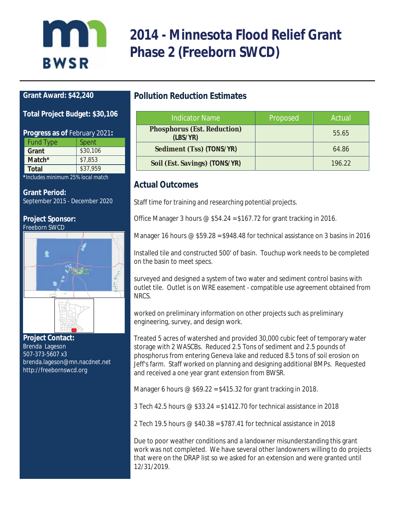# Inn **BWSR**

# **2014 - Minnesota Flood Relief Grant Phase 2 (Freeborn SWCD)**

### **Grant Award: \$42,240**

#### **Total Project Budget: \$30,106**

| <b>Progress as of February 2021:</b> |          |  |
|--------------------------------------|----------|--|
| <b>Fund Type</b>                     | Spent    |  |
| Grant                                | \$30,106 |  |
| Match*                               | \$7,853  |  |
| <b>Total</b>                         | \$37,959 |  |

**\****Includes minimum 25% local match* 

#### **Grant Period:**

September 2015 - December 2020

#### **Project Sponsor:** Freeborn SWCD



**Project Contact:**  Brenda Lageson 507-373-5607 x3 brenda.lageson@mn.nacdnet.net http://freebornswcd.org

# **Pollution Reduction Estimates**

| <b>Indicator Name</b>                          | Proposed | Actual |
|------------------------------------------------|----------|--------|
| <b>Phosphorus (Est. Reduction)</b><br>(LBS/YP) |          | 55.65  |
| Sediment (Tss) (TONS/YR)                       |          | 64.86  |
| Soil (Est. Savings) (TONS/YR)                  |          | 196 22 |

## **Actual Outcomes**

Staff time for training and researching potential projects.

Office Manager 3 hours  $\mathcal{Q}$  \$54.24 = \$167.72 for grant tracking in 2016.

Manager 16 hours  $\odot$  \$59.28 = \$948.48 for technical assistance on 3 basins in 2016

Installed tile and constructed 500' of basin. Touchup work needs to be completed on the basin to meet specs.

surveyed and designed a system of two water and sediment control basins with outlet tile. Outlet is on WRE easement - compatible use agreement obtained from NRCS.

worked on preliminary information on other projects such as preliminary engineering, survey, and design work.

Treated 5 acres of watershed and provided 30,000 cubic feet of temporary water storage with 2 WASCBs. Reduced 2.5 Tons of sediment and 2.5 pounds of phosphorus from entering Geneva lake and reduced 8.5 tons of soil erosion on Jeff's farm. Staff worked on planning and designing additional BMPs. Requested and received a one year grant extension from BWSR.

Manager 6 hours  $\omega$  \$69.22 = \$415.32 for grant tracking in 2018.

3 Tech 42.5 hours @ \$33.24 = \$1412.70 for technical assistance in 2018

2 Tech 19.5 hours @ \$40.38 = \$787.41 for technical assistance in 2018

Due to poor weather conditions and a landowner misunderstanding this grant work was not completed. We have several other landowners willing to do projects that were on the DRAP list so we asked for an extension and were granted until 12/31/2019.